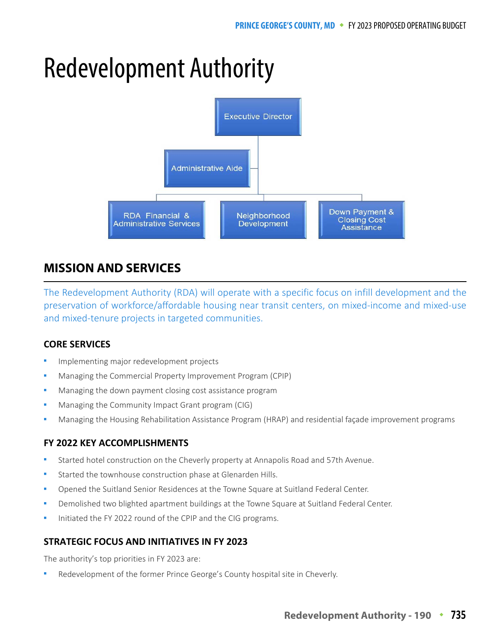# Redevelopment Authority



## **MISSION AND SERVICES**

The Redevelopment Authority (RDA) will operate with a specific focus on infill development and the preservation of workforce/affordable housing near transit centers, on mixed-income and mixed-use and mixed-tenure projects in targeted communities.

## **CORE SERVICES**

- Implementing major redevelopment projects
- Managing the Commercial Property Improvement Program (CPIP)
- Managing the down payment closing cost assistance program
- Managing the Community Impact Grant program (CIG)
- Managing the Housing Rehabilitation Assistance Program (HRAP) and residential façade improvement programs

## **FY 2022 KEY ACCOMPLISHMENTS**

- Started hotel construction on the Cheverly property at Annapolis Road and 57th Avenue.
- Started the townhouse construction phase at Glenarden Hills.
- Opened the Suitland Senior Residences at the Towne Square at Suitland Federal Center.
- Demolished two blighted apartment buildings at the Towne Square at Suitland Federal Center.
- Initiated the FY 2022 round of the CPIP and the CIG programs.

## **STRATEGIC FOCUS AND INITIATIVES IN FY 2023**

The authority's top priorities in FY 2023 are:

Redevelopment of the former Prince George's County hospital site in Cheverly.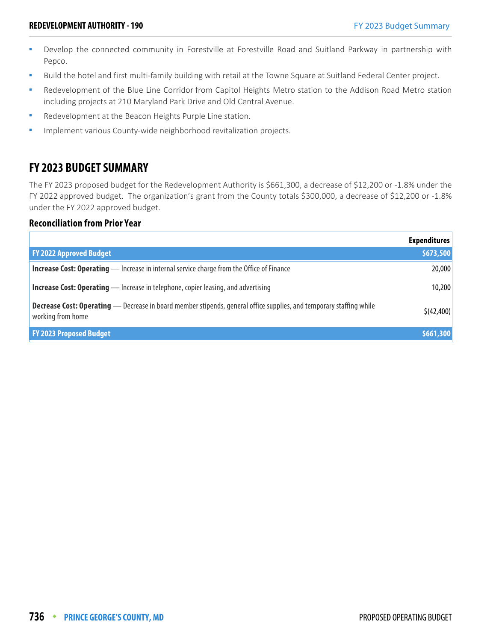- Develop the connected community in Forestville at Forestville Road and Suitland Parkway in partnership with Pepco.
- Build the hotel and first multi-family building with retail at the Towne Square at Suitland Federal Center project.
- Redevelopment of the Blue Line Corridor from Capitol Heights Metro station to the Addison Road Metro station including projects at 210 Maryland Park Drive and Old Central Avenue.
- **Redevelopment at the Beacon Heights Purple Line station.**
- Implement various County-wide neighborhood revitalization projects.

## **FY 2023 BUDGET SUMMARY**

The FY 2023 proposed budget for the Redevelopment Authority is \$661,300, a decrease of \$12,200 or -1.8% under the FY 2022 approved budget. The organization's grant from the County totals \$300,000, a decrease of \$12,200 or -1.8% under the FY 2022 approved budget.

#### **Reconciliation from Prior Year**

|                                                                                                                                                 | <b>Expenditures</b> |
|-------------------------------------------------------------------------------------------------------------------------------------------------|---------------------|
| <b>FY 2022 Approved Budget</b>                                                                                                                  | \$673,500           |
| <b>Increase Cost: Operating</b> — Increase in internal service charge from the Office of Finance                                                | 20,000              |
| <b>Increase Cost: Operating</b> — Increase in telephone, copier leasing, and advertising                                                        | 10,200              |
| <b>Decrease Cost: Operating</b> — Decrease in board member stipends, general office supplies, and temporary staffing while<br>working from home | \$(42, 400)         |
| <b>FY 2023 Proposed Budget</b>                                                                                                                  | \$661,300           |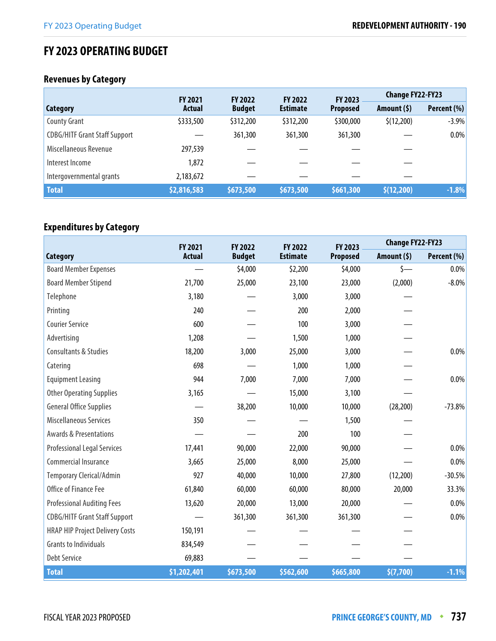## **FY 2023 OPERATING BUDGET**

## **Revenues by Category**

|                                      | <b>FY 2021</b> | <b>FY 2022</b> | <b>FY 2022</b>  | FY 2023         | <b>Change FY22-FY23</b> |             |  |
|--------------------------------------|----------------|----------------|-----------------|-----------------|-------------------------|-------------|--|
| <b>Category</b>                      | <b>Actual</b>  | <b>Budget</b>  | <b>Estimate</b> | <b>Proposed</b> | Amount $(5)$            | Percent (%) |  |
| <b>County Grant</b>                  | \$333,500      | \$312,200      | \$312,200       | \$300,000       | \$(12,200)              | $-3.9%$     |  |
| <b>CDBG/HITF Grant Staff Support</b> |                | 361,300        | 361,300         | 361,300         |                         | $0.0\%$     |  |
| Miscellaneous Revenue                | 297,539        |                |                 |                 |                         |             |  |
| Interest Income                      | 1,872          |                |                 |                 |                         |             |  |
| Intergovernmental grants             | 2,183,672      |                |                 |                 |                         |             |  |
| <b>Total</b>                         | \$2,816,583    | \$673,500      | \$673,500       | \$661,300       | \$(12,200)              | $-1.8%$     |  |

## **Expenditures by Category**

|                                        | FY 2021       | FY 2022       | FY 2022         | FY 2023         | <b>Change FY22-FY23</b> |             |
|----------------------------------------|---------------|---------------|-----------------|-----------------|-------------------------|-------------|
| <b>Category</b>                        | <b>Actual</b> | <b>Budget</b> | <b>Estimate</b> | <b>Proposed</b> | Amount $(5)$            | Percent (%) |
| <b>Board Member Expenses</b>           |               | \$4,000       | \$2,200         | \$4,000         | $\zeta$ —               | $0.0\%$     |
| <b>Board Member Stipend</b>            | 21,700        | 25,000        | 23,100          | 23,000          | (2,000)                 | $-8.0\%$    |
| Telephone                              | 3,180         |               | 3,000           | 3,000           |                         |             |
| Printing                               | 240           |               | 200             | 2,000           |                         |             |
| <b>Courier Service</b>                 | 600           |               | 100             | 3,000           |                         |             |
| Advertising                            | 1,208         |               | 1,500           | 1,000           |                         |             |
| <b>Consultants &amp; Studies</b>       | 18,200        | 3,000         | 25,000          | 3,000           |                         | $0.0\%$     |
| Catering                               | 698           |               | 1,000           | 1,000           |                         |             |
| <b>Equipment Leasing</b>               | 944           | 7,000         | 7,000           | 7,000           |                         | $0.0\%$     |
| <b>Other Operating Supplies</b>        | 3,165         |               | 15,000          | 3,100           |                         |             |
| <b>General Office Supplies</b>         |               | 38,200        | 10,000          | 10,000          | (28, 200)               | $-73.8%$    |
| <b>Miscellaneous Services</b>          | 350           |               |                 | 1,500           |                         |             |
| <b>Awards &amp; Presentations</b>      |               |               | 200             | 100             |                         |             |
| <b>Professional Legal Services</b>     | 17,441        | 90,000        | 22,000          | 90,000          |                         | $0.0\%$     |
| Commercial Insurance                   | 3,665         | 25,000        | 8,000           | 25,000          |                         | $0.0\%$     |
| <b>Temporary Clerical/Admin</b>        | 927           | 40,000        | 10,000          | 27,800          | (12,200)                | $-30.5%$    |
| Office of Finance Fee                  | 61,840        | 60,000        | 60,000          | 80,000          | 20,000                  | 33.3%       |
| <b>Professional Auditing Fees</b>      | 13,620        | 20,000        | 13,000          | 20,000          |                         | $0.0\%$     |
| <b>CDBG/HITF Grant Staff Support</b>   |               | 361,300       | 361,300         | 361,300         |                         | $0.0\%$     |
| <b>HRAP HIP Project Delivery Costs</b> | 150,191       |               |                 |                 |                         |             |
| <b>Grants to Individuals</b>           | 834,549       |               |                 |                 |                         |             |
| <b>Debt Service</b>                    | 69,883        |               |                 |                 |                         |             |
| <b>Total</b>                           | \$1,202,401   | \$673,500     | \$562,600       | \$665,800       | \$(7,700)               | $-1.1%$     |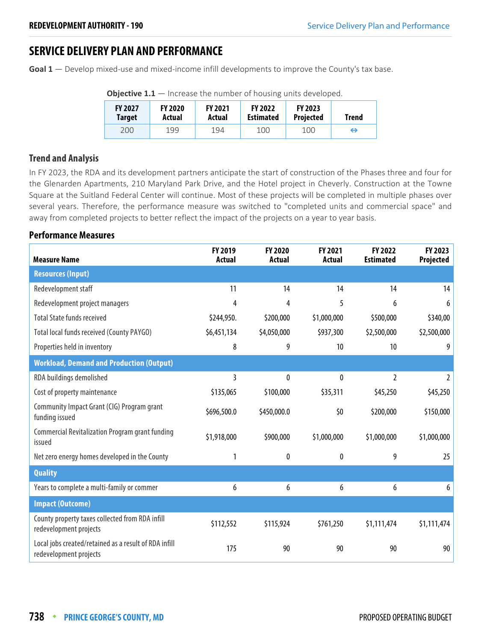## **SERVICE DELIVERY PLAN AND PERFORMANCE**

**Goal 1** — Develop mixed-use and mixed-income infill developments to improve the County's tax base.

| <b>FY 2027</b><br><b>Target</b> | <b>FY 2020</b><br>Actual | <b>FY 2021</b><br>Actual | <b>FY 2022</b><br><b>Estimated</b> | <b>FY 2023</b><br><b>Projected</b> | Trend |  |  |  |
|---------------------------------|--------------------------|--------------------------|------------------------------------|------------------------------------|-------|--|--|--|
| 200                             | 199                      | 194                      | 100                                | 100                                | ↔     |  |  |  |

**Objective 1.1** – Increase the number of housing units developed.

#### **Trend and Analysis**

In FY 2023, the RDA and its development partners anticipate the start of construction of the Phases three and four for the Glenarden Apartments, 210 Maryland Park Drive, and the Hotel project in Cheverly. Construction at the Towne Square at the Suitland Federal Center will continue. Most of these projects will be completed in multiple phases over several years. Therefore, the performance measure was switched to "completed units and commercial space" and away from completed projects to better reflect the impact of the projects on a year to year basis.

## **Performance Measures**

| <b>Measure Name</b>                                                             | FY 2019<br>Actual | <b>FY 2020</b><br>Actual | FY 2021<br>Actual | FY 2022<br><b>Estimated</b> | FY 2023<br>Projected |
|---------------------------------------------------------------------------------|-------------------|--------------------------|-------------------|-----------------------------|----------------------|
| <b>Resources (Input)</b>                                                        |                   |                          |                   |                             |                      |
| Redevelopment staff                                                             | 11                | 14                       | 14                | 14                          | 14                   |
| Redevelopment project managers                                                  | 4                 | 4                        | 5                 | 6                           | 6                    |
| <b>Total State funds received</b>                                               | \$244,950.        | \$200,000                | \$1,000,000       | \$500,000                   | \$340,00             |
| <b>Total local funds received (County PAYGO)</b>                                | \$6,451,134       | \$4,050,000              | \$937,300         | \$2,500,000                 | \$2,500,000          |
| Properties held in inventory                                                    | 8                 | 9                        | 10                | 10                          | 9                    |
| <b>Workload, Demand and Production (Output)</b>                                 |                   |                          |                   |                             |                      |
| RDA buildings demolished                                                        | 3                 | $\bf{0}$                 | 0                 | $\overline{2}$              | $\overline{2}$       |
| Cost of property maintenance                                                    | \$135,065         | \$100,000                | \$35,311          | \$45,250                    | \$45,250             |
| Community Impact Grant (CIG) Program grant<br>funding issued                    | \$696,500.0       | \$450,000.0              | \$0               | \$200,000                   | \$150,000            |
| Commercial Revitalization Program grant funding<br>issued                       | \$1,918,000       | \$900,000                | \$1,000,000       | \$1,000,000                 | \$1,000,000          |
| Net zero energy homes developed in the County                                   | 1                 | 0                        | 0                 | 9                           | 25                   |
| <b>Quality</b>                                                                  |                   |                          |                   |                             |                      |
| Years to complete a multi-family or commer                                      | 6                 | 6                        | 6                 | 6                           | 6                    |
| <b>Impact (Outcome)</b>                                                         |                   |                          |                   |                             |                      |
| County property taxes collected from RDA infill<br>redevelopment projects       | \$112,552         | \$115,924                | \$761,250         | \$1,111,474                 | \$1,111,474          |
| Local jobs created/retained as a result of RDA infill<br>redevelopment projects | 175               | 90                       | 90                | 90                          | 90                   |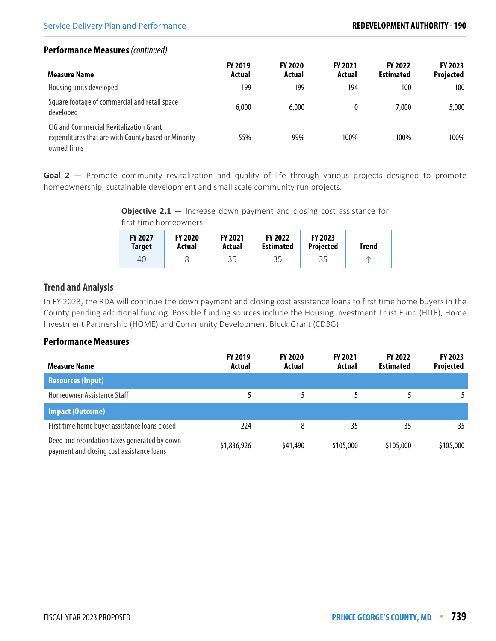#### **Performance Measures** (continued)

| Measure Name                                                                                                  | <b>FY 2019</b><br>Actual | <b>FY 2020</b><br>Actual | <b>FY 2021</b><br>Actual | <b>FY 2022</b><br><b>Estimated</b> | FY 2023<br><b>Projected</b> |
|---------------------------------------------------------------------------------------------------------------|--------------------------|--------------------------|--------------------------|------------------------------------|-----------------------------|
| Housing units developed                                                                                       | 199                      | 199                      | 194                      | 100                                | 100                         |
| Square footage of commercial and retail space<br>developed                                                    | 6,000                    | 6,000                    |                          | 7.000                              | 5,000                       |
| CIG and Commercial Revitalization Grant<br>expenditures that are with County based or Minority<br>owned firms | 55%                      | 99%                      | 100%                     | 100%                               | 100%                        |

Goal 2 – Promote community revitalization and quality of life through various projects designed to promote homeownership, sustainable development and small scale community run projects.

> **Objective 2.1** – Increase down payment and closing cost assistance for first time homeowners.

| <b>FY 2027</b><br>Target | <b>FY 2020</b><br>Actual | <b>FY 2021</b><br>Actual | <b>FY 2022</b><br><b>Estimated</b> | <b>FY 2023</b><br><b>Projected</b> | <b>Trend</b> |
|--------------------------|--------------------------|--------------------------|------------------------------------|------------------------------------|--------------|
| 40                       |                          | 35                       | 35                                 | 35                                 |              |

## **Trend and Analysis**

In FY 2023, the RDA will continue the down payment and closing cost assistance loans to first time home buyers in the County pending additional funding. Possible funding sources include the Housing Investment Trust Fund (HITF), Home Investment Partnership (HOME) and Community Development Block Grant (CDBG).

#### **Performance Measures**

| <b>Measure Name</b>                                                                       | <b>FY 2019</b><br>Actual | <b>FY 2020</b><br>Actual | <b>FY 2021</b><br>Actual | <b>FY 2022</b><br><b>Estimated</b> | <b>FY 2023</b><br><b>Projected</b> |
|-------------------------------------------------------------------------------------------|--------------------------|--------------------------|--------------------------|------------------------------------|------------------------------------|
| <b>Resources (Input)</b>                                                                  |                          |                          |                          |                                    |                                    |
| Homeowner Assistance Staff                                                                |                          |                          |                          |                                    |                                    |
| <b>Impact (Outcome)</b>                                                                   |                          |                          |                          |                                    |                                    |
| First time home buyer assistance loans closed                                             | 224                      | 8                        | 35                       | 35                                 | 35                                 |
| Deed and recordation taxes generated by down<br>payment and closing cost assistance loans | \$1,836,926              | \$41,490                 | \$105,000                | \$105,000                          | \$105,000                          |